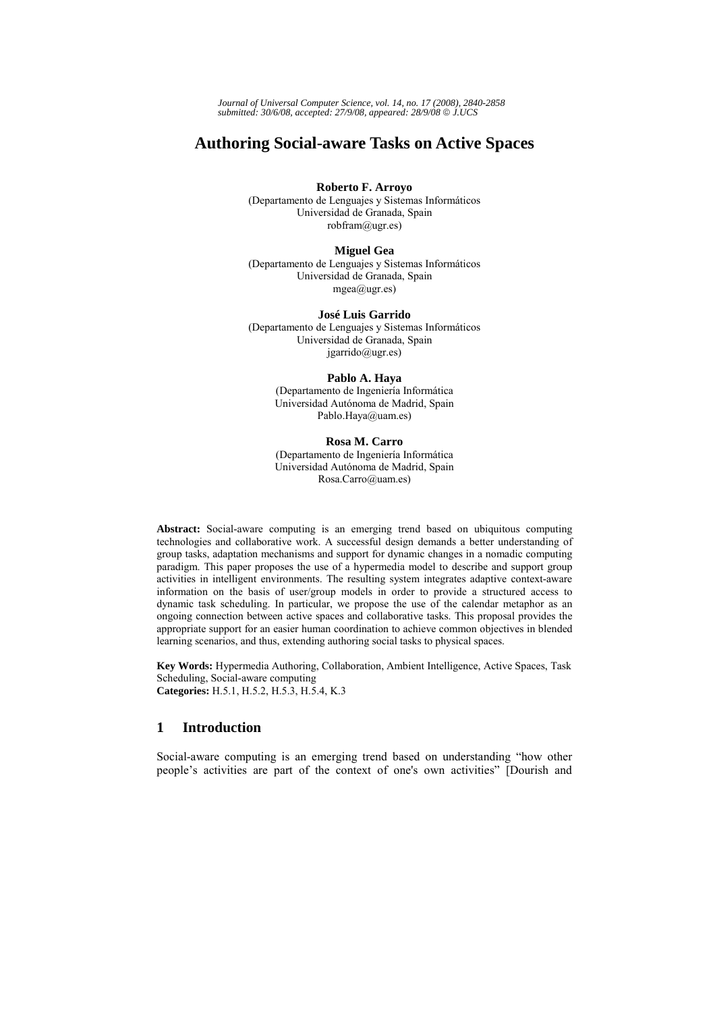*Journal of Universal Computer Science, vol. 14, no. 17 (2008), 2840-2858 submitted: 30/6/08, accepted: 27/9/08, appeared: 28/9/08* © *J.UCS*

# **Authoring Social-aware Tasks on Active Spaces**

#### **Roberto F. Arroyo**

(Departamento de Lenguajes y Sistemas Informáticos Universidad de Granada, Spain robfram@ugr.es)

## **Miguel Gea**

(Departamento de Lenguajes y Sistemas Informáticos Universidad de Granada, Spain  $mgea@ugr.es)$ 

### **José Luis Garrido**

(Departamento de Lenguajes y Sistemas Informáticos Universidad de Granada, Spain  $j$ garrido $(a)$ ugr.es)

## **Pablo A. Haya**

(Departamento de Ingeniería Informática Universidad Autónoma de Madrid, Spain Pablo.Haya@uam.es)

# **Rosa M. Carro**

(Departamento de Ingeniería Informática Universidad Autónoma de Madrid, Spain Rosa.Carro@uam.es)

**Abstract:** Social-aware computing is an emerging trend based on ubiquitous computing technologies and collaborative work. A successful design demands a better understanding of group tasks, adaptation mechanisms and support for dynamic changes in a nomadic computing paradigm. This paper proposes the use of a hypermedia model to describe and support group activities in intelligent environments. The resulting system integrates adaptive context-aware information on the basis of user/group models in order to provide a structured access to dynamic task scheduling. In particular, we propose the use of the calendar metaphor as an ongoing connection between active spaces and collaborative tasks. This proposal provides the appropriate support for an easier human coordination to achieve common objectives in blended learning scenarios, and thus, extending authoring social tasks to physical spaces.

**Key Words:** Hypermedia Authoring, Collaboration, Ambient Intelligence, Active Spaces, Task Scheduling, Social-aware computing **Categories:** H.5.1, H.5.2, H.5.3, H.5.4, K.3

## **1 Introduction**

Social-aware computing is an emerging trend based on understanding "how other people's activities are part of the context of one's own activities" [Dourish and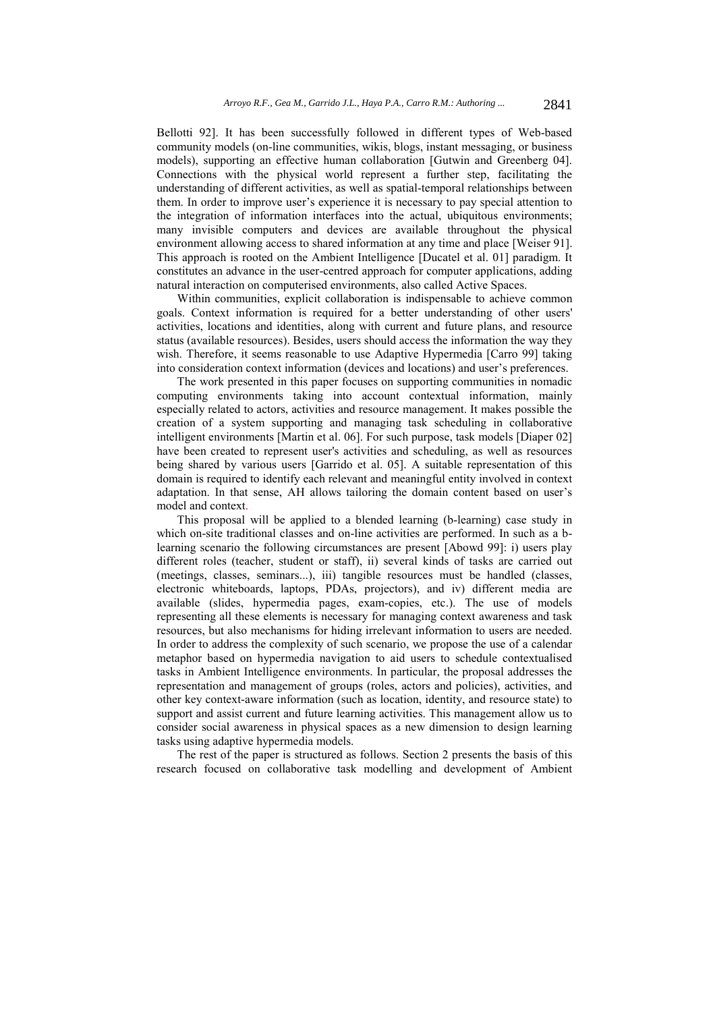Bellotti 92]. It has been successfully followed in different types of Web-based community models (on-line communities, wikis, blogs, instant messaging, or business models), supporting an effective human collaboration [Gutwin and Greenberg 04]. Connections with the physical world represent a further step, facilitating the understanding of different activities, as well as spatial-temporal relationships between them. In order to improve user's experience it is necessary to pay special attention to the integration of information interfaces into the actual, ubiquitous environments; many invisible computers and devices are available throughout the physical environment allowing access to shared information at any time and place [Weiser 91]. This approach is rooted on the Ambient Intelligence [Ducatel et al. 01] paradigm. It constitutes an advance in the user-centred approach for computer applications, adding natural interaction on computerised environments, also called Active Spaces.

Within communities, explicit collaboration is indispensable to achieve common goals. Context information is required for a better understanding of other users' activities, locations and identities, along with current and future plans, and resource status (available resources). Besides, users should access the information the way they wish. Therefore, it seems reasonable to use Adaptive Hypermedia [Carro 99] taking into consideration context information (devices and locations) and user's preferences.

The work presented in this paper focuses on supporting communities in nomadic computing environments taking into account contextual information, mainly especially related to actors, activities and resource management. It makes possible the creation of a system supporting and managing task scheduling in collaborative intelligent environments [Martin et al. 06]. For such purpose, task models [Diaper 02] have been created to represent user's activities and scheduling, as well as resources being shared by various users [Garrido et al. 05]. A suitable representation of this domain is required to identify each relevant and meaningful entity involved in context adaptation. In that sense, AH allows tailoring the domain content based on user's model and context.

This proposal will be applied to a blended learning (b-learning) case study in which on-site traditional classes and on-line activities are performed. In such as a blearning scenario the following circumstances are present [Abowd 99]: i) users play different roles (teacher, student or staff), ii) several kinds of tasks are carried out (meetings, classes, seminars...), iii) tangible resources must be handled (classes, electronic whiteboards, laptops, PDAs, projectors), and iv) different media are available (slides, hypermedia pages, exam-copies, etc.). The use of models representing all these elements is necessary for managing context awareness and task resources, but also mechanisms for hiding irrelevant information to users are needed. In order to address the complexity of such scenario, we propose the use of a calendar metaphor based on hypermedia navigation to aid users to schedule contextualised tasks in Ambient Intelligence environments. In particular, the proposal addresses the representation and management of groups (roles, actors and policies), activities, and other key context-aware information (such as location, identity, and resource state) to support and assist current and future learning activities. This management allow us to consider social awareness in physical spaces as a new dimension to design learning tasks using adaptive hypermedia models.

The rest of the paper is structured as follows. Section 2 presents the basis of this research focused on collaborative task modelling and development of Ambient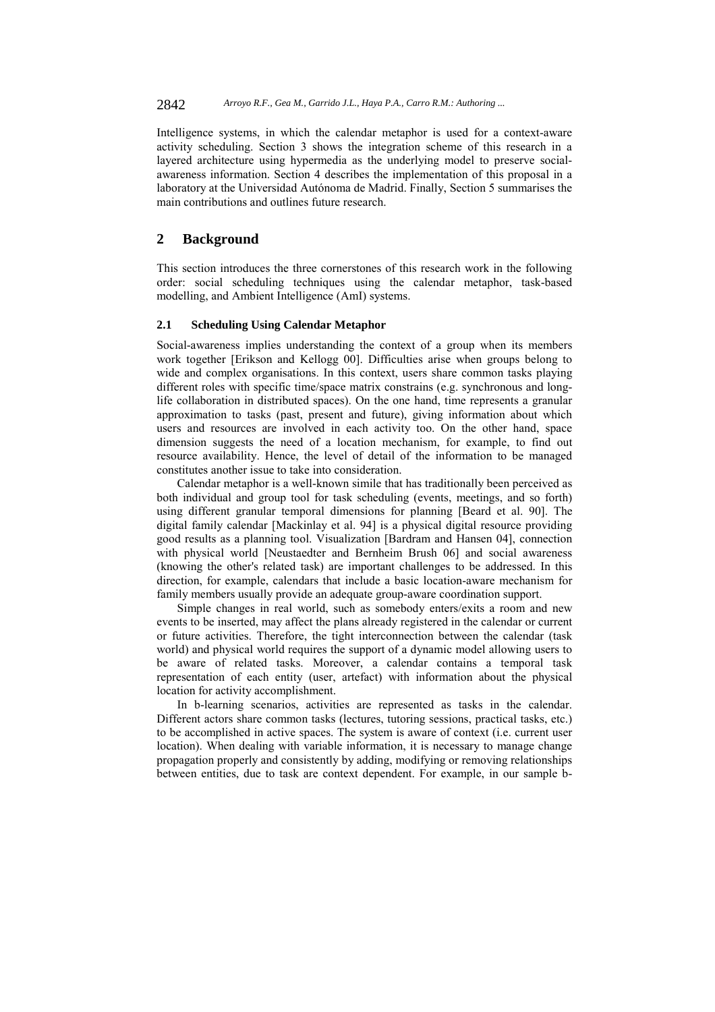Intelligence systems, in which the calendar metaphor is used for a context-aware activity scheduling. Section 3 shows the integration scheme of this research in a layered architecture using hypermedia as the underlying model to preserve socialawareness information. Section 4 describes the implementation of this proposal in a laboratory at the Universidad Autónoma de Madrid. Finally, Section 5 summarises the main contributions and outlines future research.

# **2 Background**

This section introduces the three cornerstones of this research work in the following order: social scheduling techniques using the calendar metaphor, task-based modelling, and Ambient Intelligence (AmI) systems.

## **2.1 Scheduling Using Calendar Metaphor**

Social-awareness implies understanding the context of a group when its members work together [Erikson and Kellogg 00]. Difficulties arise when groups belong to wide and complex organisations. In this context, users share common tasks playing different roles with specific time/space matrix constrains (e.g. synchronous and longlife collaboration in distributed spaces). On the one hand, time represents a granular approximation to tasks (past, present and future), giving information about which users and resources are involved in each activity too. On the other hand, space dimension suggests the need of a location mechanism, for example, to find out resource availability. Hence, the level of detail of the information to be managed constitutes another issue to take into consideration.

Calendar metaphor is a well-known simile that has traditionally been perceived as both individual and group tool for task scheduling (events, meetings, and so forth) using different granular temporal dimensions for planning [Beard et al. 90]. The digital family calendar [Mackinlay et al. 94] is a physical digital resource providing good results as a planning tool. Visualization [Bardram and Hansen 04], connection with physical world [Neustaedter and Bernheim Brush 06] and social awareness (knowing the other's related task) are important challenges to be addressed. In this direction, for example, calendars that include a basic location-aware mechanism for family members usually provide an adequate group-aware coordination support.

Simple changes in real world, such as somebody enters/exits a room and new events to be inserted, may affect the plans already registered in the calendar or current or future activities. Therefore, the tight interconnection between the calendar (task world) and physical world requires the support of a dynamic model allowing users to be aware of related tasks. Moreover, a calendar contains a temporal task representation of each entity (user, artefact) with information about the physical location for activity accomplishment.

In b-learning scenarios, activities are represented as tasks in the calendar. Different actors share common tasks (lectures, tutoring sessions, practical tasks, etc.) to be accomplished in active spaces. The system is aware of context (i.e. current user location). When dealing with variable information, it is necessary to manage change propagation properly and consistently by adding, modifying or removing relationships between entities, due to task are context dependent. For example, in our sample b-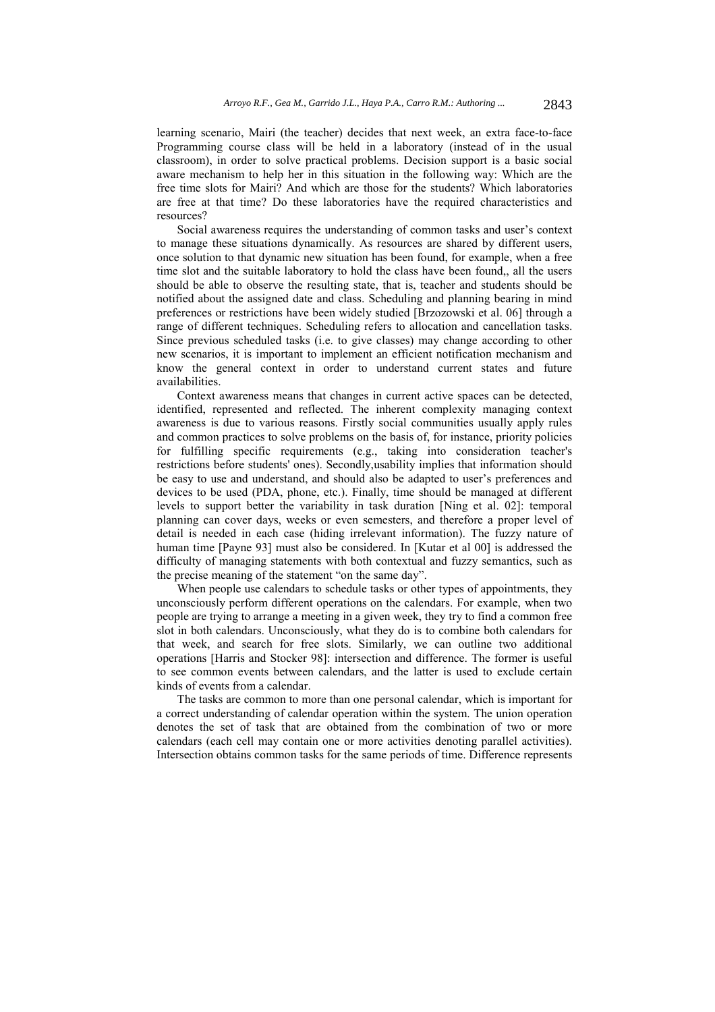learning scenario, Mairi (the teacher) decides that next week, an extra face-to-face Programming course class will be held in a laboratory (instead of in the usual classroom), in order to solve practical problems. Decision support is a basic social aware mechanism to help her in this situation in the following way: Which are the free time slots for Mairi? And which are those for the students? Which laboratories are free at that time? Do these laboratories have the required characteristics and resources?

Social awareness requires the understanding of common tasks and user's context to manage these situations dynamically. As resources are shared by different users, once solution to that dynamic new situation has been found, for example, when a free time slot and the suitable laboratory to hold the class have been found,, all the users should be able to observe the resulting state, that is, teacher and students should be notified about the assigned date and class. Scheduling and planning bearing in mind preferences or restrictions have been widely studied [Brzozowski et al. 06] through a range of different techniques. Scheduling refers to allocation and cancellation tasks. Since previous scheduled tasks (i.e. to give classes) may change according to other new scenarios, it is important to implement an efficient notification mechanism and know the general context in order to understand current states and future availabilities.

Context awareness means that changes in current active spaces can be detected, identified, represented and reflected. The inherent complexity managing context awareness is due to various reasons. Firstly social communities usually apply rules and common practices to solve problems on the basis of, for instance, priority policies for fulfilling specific requirements (e.g., taking into consideration teacher's restrictions before students' ones). Secondly,usability implies that information should be easy to use and understand, and should also be adapted to user's preferences and devices to be used (PDA, phone, etc.). Finally, time should be managed at different levels to support better the variability in task duration [Ning et al. 02]: temporal planning can cover days, weeks or even semesters, and therefore a proper level of detail is needed in each case (hiding irrelevant information). The fuzzy nature of human time [Payne 93] must also be considered. In [Kutar et al 00] is addressed the difficulty of managing statements with both contextual and fuzzy semantics, such as the precise meaning of the statement "on the same day".

When people use calendars to schedule tasks or other types of appointments, they unconsciously perform different operations on the calendars. For example, when two people are trying to arrange a meeting in a given week, they try to find a common free slot in both calendars. Unconsciously, what they do is to combine both calendars for that week, and search for free slots. Similarly, we can outline two additional operations [Harris and Stocker 98]: intersection and difference. The former is useful to see common events between calendars, and the latter is used to exclude certain kinds of events from a calendar.

The tasks are common to more than one personal calendar, which is important for a correct understanding of calendar operation within the system. The union operation denotes the set of task that are obtained from the combination of two or more calendars (each cell may contain one or more activities denoting parallel activities). Intersection obtains common tasks for the same periods of time. Difference represents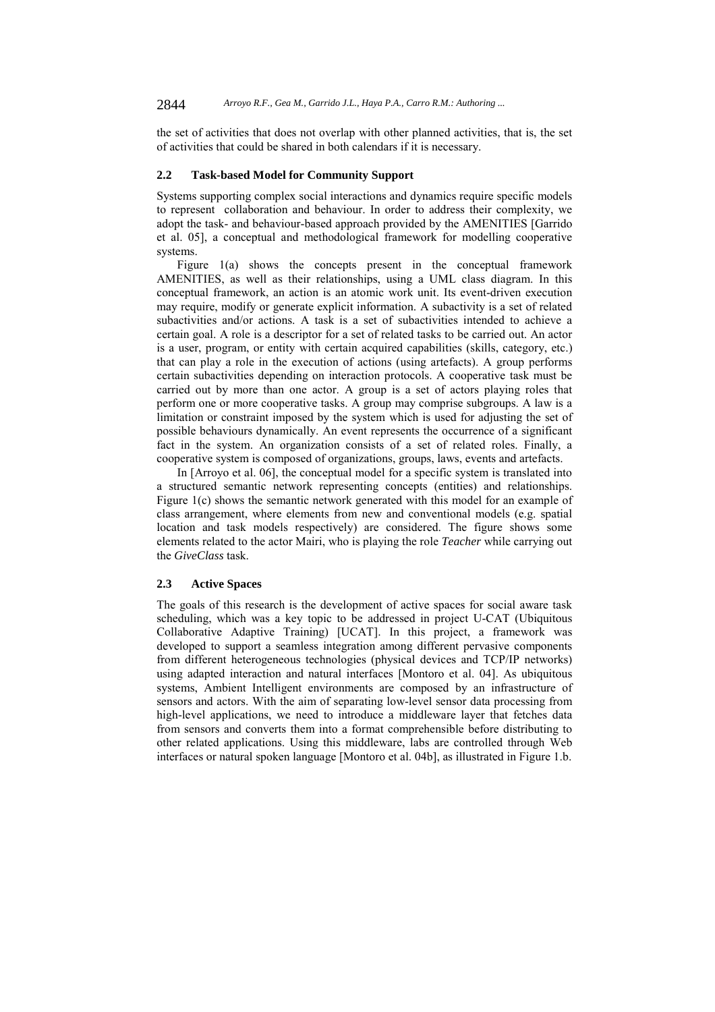the set of activities that does not overlap with other planned activities, that is, the set of activities that could be shared in both calendars if it is necessary.

#### **2.2 Task-based Model for Community Support**

Systems supporting complex social interactions and dynamics require specific models to represent collaboration and behaviour. In order to address their complexity, we adopt the task- and behaviour-based approach provided by the AMENITIES [Garrido et al. 05], a conceptual and methodological framework for modelling cooperative systems.

Figure 1(a) shows the concepts present in the conceptual framework AMENITIES, as well as their relationships, using a UML class diagram. In this conceptual framework, an action is an atomic work unit. Its event-driven execution may require, modify or generate explicit information. A subactivity is a set of related subactivities and/or actions. A task is a set of subactivities intended to achieve a certain goal. A role is a descriptor for a set of related tasks to be carried out. An actor is a user, program, or entity with certain acquired capabilities (skills, category, etc.) that can play a role in the execution of actions (using artefacts). A group performs certain subactivities depending on interaction protocols. A cooperative task must be carried out by more than one actor. A group is a set of actors playing roles that perform one or more cooperative tasks. A group may comprise subgroups. A law is a limitation or constraint imposed by the system which is used for adjusting the set of possible behaviours dynamically. An event represents the occurrence of a significant fact in the system. An organization consists of a set of related roles. Finally, a cooperative system is composed of organizations, groups, laws, events and artefacts.

In [Arroyo et al. 06], the conceptual model for a specific system is translated into a structured semantic network representing concepts (entities) and relationships. Figure 1(c) shows the semantic network generated with this model for an example of class arrangement, where elements from new and conventional models (e.g. spatial location and task models respectively) are considered. The figure shows some elements related to the actor Mairi, who is playing the role *Teacher* while carrying out the *GiveClass* task.

# **2.3 Active Spaces**

The goals of this research is the development of active spaces for social aware task scheduling, which was a key topic to be addressed in project U-CAT (Ubiquitous Collaborative Adaptive Training) [UCAT]. In this project, a framework was developed to support a seamless integration among different pervasive components from different heterogeneous technologies (physical devices and TCP/IP networks) using adapted interaction and natural interfaces [Montoro et al. 04]. As ubiquitous systems, Ambient Intelligent environments are composed by an infrastructure of sensors and actors. With the aim of separating low-level sensor data processing from high-level applications, we need to introduce a middleware layer that fetches data from sensors and converts them into a format comprehensible before distributing to other related applications. Using this middleware, labs are controlled through Web interfaces or natural spoken language [Montoro et al. 04b], as illustrated in Figure 1.b.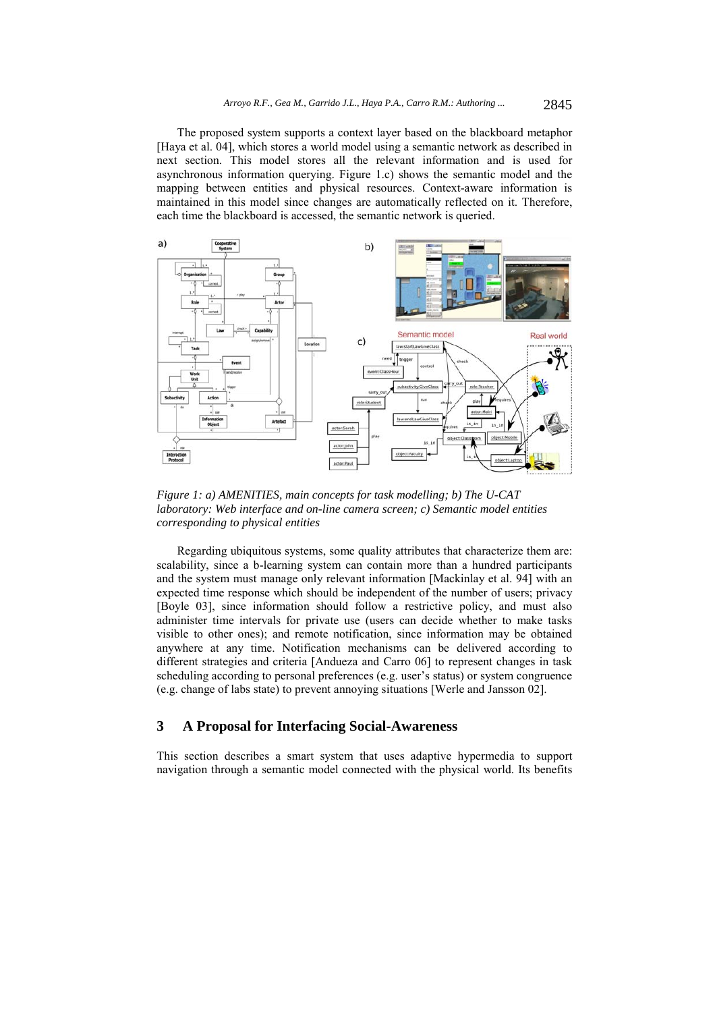The proposed system supports a context layer based on the blackboard metaphor [Haya et al. 04], which stores a world model using a semantic network as described in next section. This model stores all the relevant information and is used for asynchronous information querying. Figure 1.c) shows the semantic model and the mapping between entities and physical resources. Context-aware information is maintained in this model since changes are automatically reflected on it. Therefore, each time the blackboard is accessed, the semantic network is queried.



*Figure 1: a) AMENITIES, main concepts for task modelling; b) The U-CAT laboratory: Web interface and on-line camera screen; c) Semantic model entities corresponding to physical entities* 

Regarding ubiquitous systems, some quality attributes that characterize them are: scalability, since a b-learning system can contain more than a hundred participants and the system must manage only relevant information [Mackinlay et al. 94] with an expected time response which should be independent of the number of users; privacy [Boyle 03], since information should follow a restrictive policy, and must also administer time intervals for private use (users can decide whether to make tasks visible to other ones); and remote notification, since information may be obtained anywhere at any time. Notification mechanisms can be delivered according to different strategies and criteria [Andueza and Carro 06] to represent changes in task scheduling according to personal preferences (e.g. user's status) or system congruence (e.g. change of labs state) to prevent annoying situations [Werle and Jansson 02].

# **3 A Proposal for Interfacing Social-Awareness**

This section describes a smart system that uses adaptive hypermedia to support navigation through a semantic model connected with the physical world. Its benefits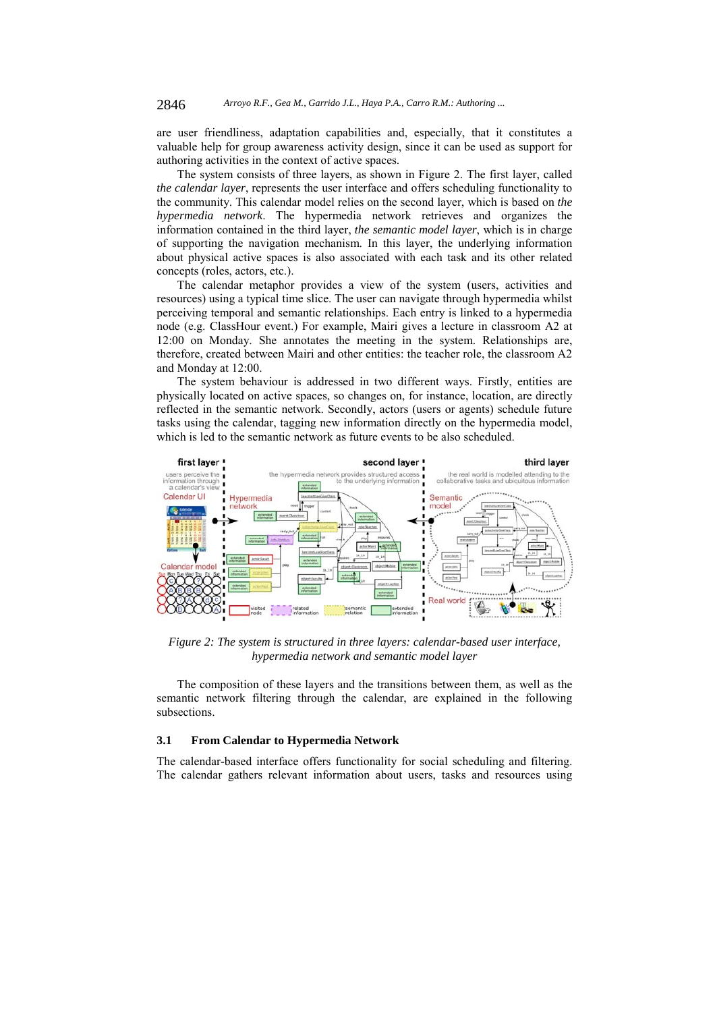are user friendliness, adaptation capabilities and, especially, that it constitutes a valuable help for group awareness activity design, since it can be used as support for authoring activities in the context of active spaces.

The system consists of three layers, as shown in Figure 2. The first layer, called *the calendar layer*, represents the user interface and offers scheduling functionality to the community. This calendar model relies on the second layer, which is based on *the hypermedia network*. The hypermedia network retrieves and organizes the information contained in the third layer, *the semantic model layer*, which is in charge of supporting the navigation mechanism. In this layer, the underlying information about physical active spaces is also associated with each task and its other related concepts (roles, actors, etc.).

The calendar metaphor provides a view of the system (users, activities and resources) using a typical time slice. The user can navigate through hypermedia whilst perceiving temporal and semantic relationships. Each entry is linked to a hypermedia node (e.g. ClassHour event.) For example, Mairi gives a lecture in classroom A2 at 12:00 on Monday. She annotates the meeting in the system. Relationships are, therefore, created between Mairi and other entities: the teacher role, the classroom A2 and Monday at 12:00.

The system behaviour is addressed in two different ways. Firstly, entities are physically located on active spaces, so changes on, for instance, location, are directly reflected in the semantic network. Secondly, actors (users or agents) schedule future tasks using the calendar, tagging new information directly on the hypermedia model, which is led to the semantic network as future events to be also scheduled.



*Figure 2: The system is structured in three layers: calendar-based user interface, hypermedia network and semantic model layer*

The composition of these layers and the transitions between them, as well as the semantic network filtering through the calendar, are explained in the following subsections.

#### **3.1 From Calendar to Hypermedia Network**

The calendar-based interface offers functionality for social scheduling and filtering. The calendar gathers relevant information about users, tasks and resources using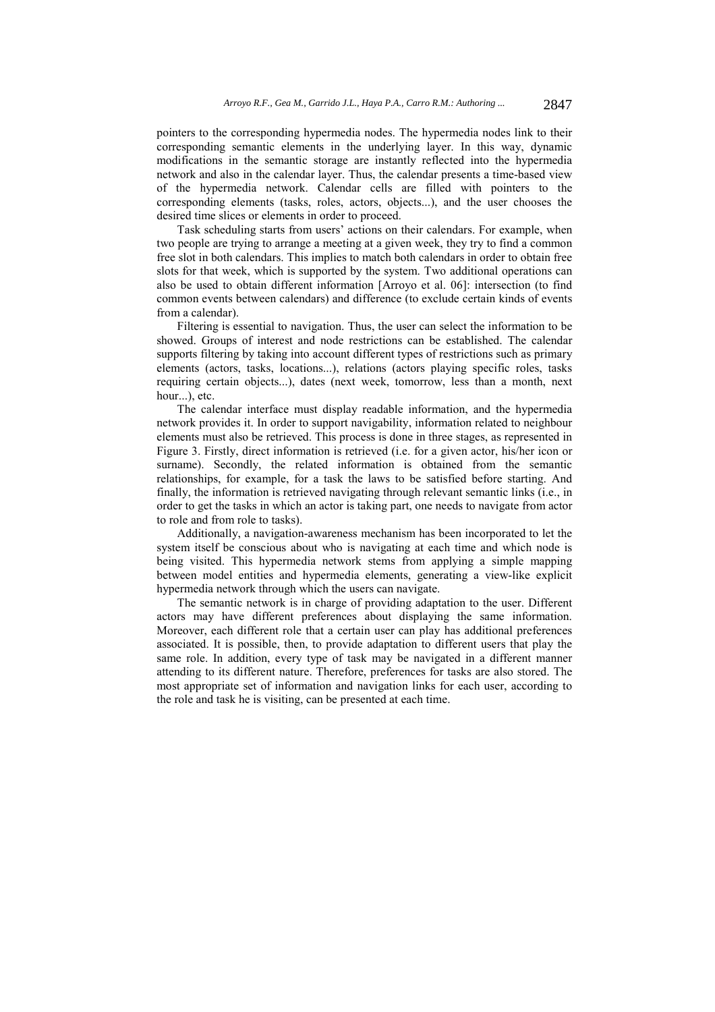pointers to the corresponding hypermedia nodes. The hypermedia nodes link to their corresponding semantic elements in the underlying layer. In this way, dynamic modifications in the semantic storage are instantly reflected into the hypermedia network and also in the calendar layer. Thus, the calendar presents a time-based view of the hypermedia network. Calendar cells are filled with pointers to the corresponding elements (tasks, roles, actors, objects...), and the user chooses the desired time slices or elements in order to proceed.

Task scheduling starts from users' actions on their calendars. For example, when two people are trying to arrange a meeting at a given week, they try to find a common free slot in both calendars. This implies to match both calendars in order to obtain free slots for that week, which is supported by the system. Two additional operations can also be used to obtain different information [Arroyo et al. 06]: intersection (to find common events between calendars) and difference (to exclude certain kinds of events from a calendar).

Filtering is essential to navigation. Thus, the user can select the information to be showed. Groups of interest and node restrictions can be established. The calendar supports filtering by taking into account different types of restrictions such as primary elements (actors, tasks, locations...), relations (actors playing specific roles, tasks requiring certain objects...), dates (next week, tomorrow, less than a month, next hour...), etc.

The calendar interface must display readable information, and the hypermedia network provides it. In order to support navigability, information related to neighbour elements must also be retrieved. This process is done in three stages, as represented in Figure 3. Firstly, direct information is retrieved (i.e. for a given actor, his/her icon or surname). Secondly, the related information is obtained from the semantic relationships, for example, for a task the laws to be satisfied before starting. And finally, the information is retrieved navigating through relevant semantic links (i.e., in order to get the tasks in which an actor is taking part, one needs to navigate from actor to role and from role to tasks).

Additionally, a navigation-awareness mechanism has been incorporated to let the system itself be conscious about who is navigating at each time and which node is being visited. This hypermedia network stems from applying a simple mapping between model entities and hypermedia elements, generating a view-like explicit hypermedia network through which the users can navigate.

The semantic network is in charge of providing adaptation to the user. Different actors may have different preferences about displaying the same information. Moreover, each different role that a certain user can play has additional preferences associated. It is possible, then, to provide adaptation to different users that play the same role. In addition, every type of task may be navigated in a different manner attending to its different nature. Therefore, preferences for tasks are also stored. The most appropriate set of information and navigation links for each user, according to the role and task he is visiting, can be presented at each time.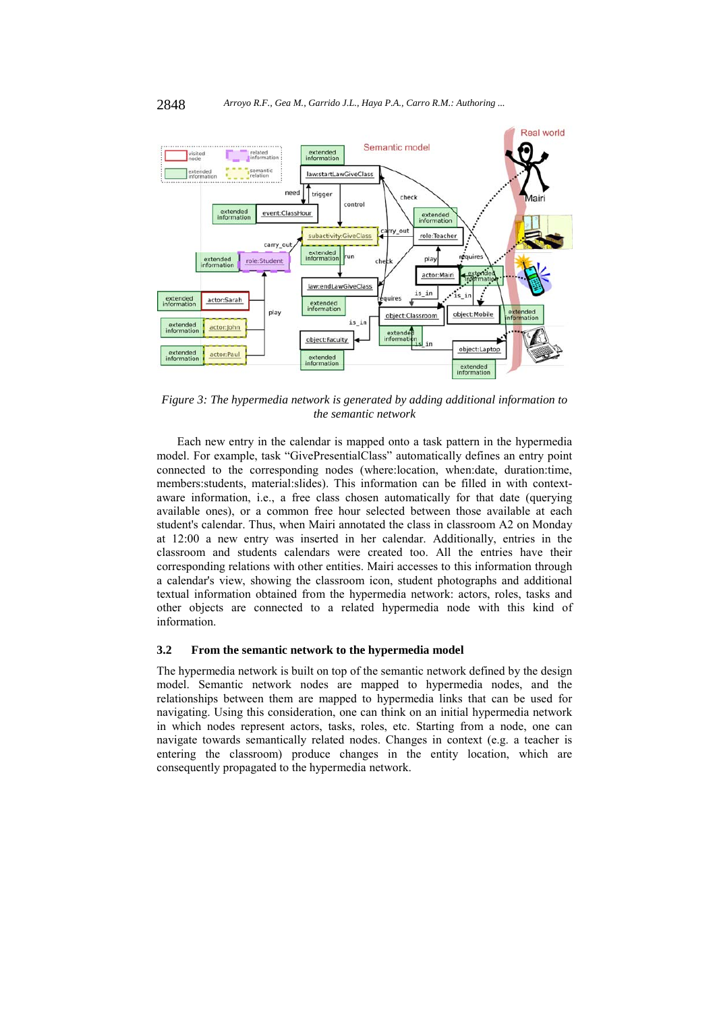

*Figure 3: The hypermedia network is generated by adding additional information to the semantic network* 

Each new entry in the calendar is mapped onto a task pattern in the hypermedia model. For example, task "GivePresentialClass" automatically defines an entry point connected to the corresponding nodes (where:location, when:date, duration:time, members:students, material:slides). This information can be filled in with contextaware information, i.e., a free class chosen automatically for that date (querying available ones), or a common free hour selected between those available at each student's calendar. Thus, when Mairi annotated the class in classroom A2 on Monday at 12:00 a new entry was inserted in her calendar. Additionally, entries in the classroom and students calendars were created too. All the entries have their corresponding relations with other entities. Mairi accesses to this information through a calendar's view, showing the classroom icon, student photographs and additional textual information obtained from the hypermedia network: actors, roles, tasks and other objects are connected to a related hypermedia node with this kind of information.

#### **3.2 From the semantic network to the hypermedia model**

The hypermedia network is built on top of the semantic network defined by the design model. Semantic network nodes are mapped to hypermedia nodes, and the relationships between them are mapped to hypermedia links that can be used for navigating. Using this consideration, one can think on an initial hypermedia network in which nodes represent actors, tasks, roles, etc. Starting from a node, one can navigate towards semantically related nodes. Changes in context (e.g. a teacher is entering the classroom) produce changes in the entity location, which are consequently propagated to the hypermedia network.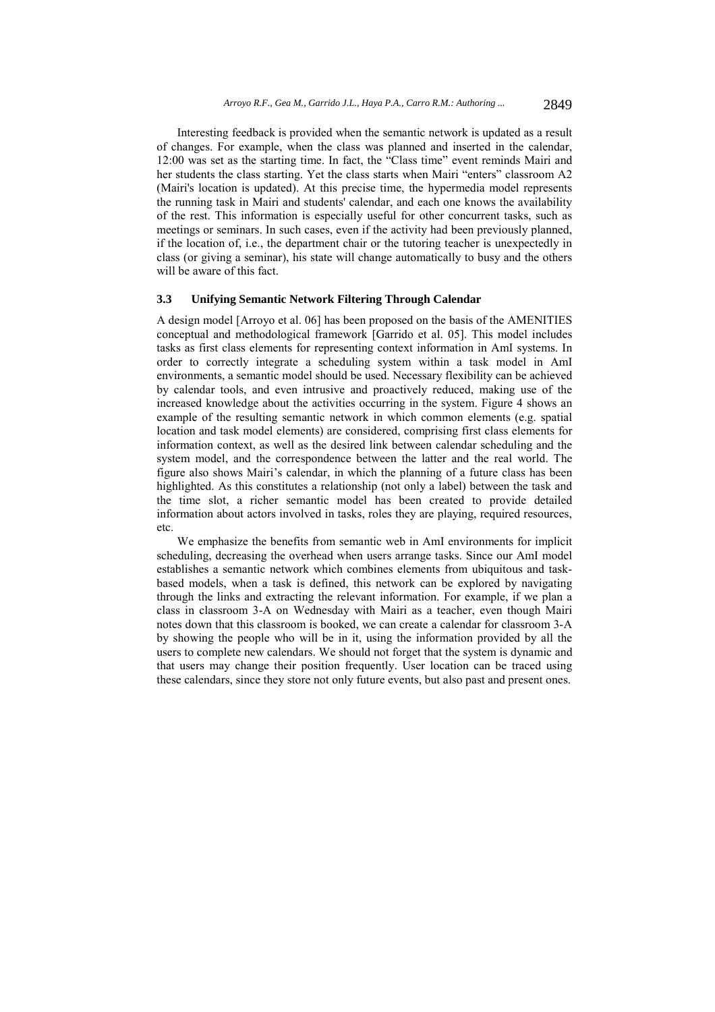Interesting feedback is provided when the semantic network is updated as a result of changes. For example, when the class was planned and inserted in the calendar, 12:00 was set as the starting time. In fact, the "Class time" event reminds Mairi and her students the class starting. Yet the class starts when Mairi "enters" classroom A2 (Mairi's location is updated). At this precise time, the hypermedia model represents the running task in Mairi and students' calendar, and each one knows the availability of the rest. This information is especially useful for other concurrent tasks, such as meetings or seminars. In such cases, even if the activity had been previously planned, if the location of, i.e., the department chair or the tutoring teacher is unexpectedly in class (or giving a seminar), his state will change automatically to busy and the others will be aware of this fact.

#### **3.3 Unifying Semantic Network Filtering Through Calendar**

A design model [Arroyo et al. 06] has been proposed on the basis of the AMENITIES conceptual and methodological framework [Garrido et al. 05]. This model includes tasks as first class elements for representing context information in AmI systems. In order to correctly integrate a scheduling system within a task model in AmI environments, a semantic model should be used. Necessary flexibility can be achieved by calendar tools, and even intrusive and proactively reduced, making use of the increased knowledge about the activities occurring in the system. Figure 4 shows an example of the resulting semantic network in which common elements (e.g. spatial location and task model elements) are considered, comprising first class elements for information context, as well as the desired link between calendar scheduling and the system model, and the correspondence between the latter and the real world. The figure also shows Mairi's calendar, in which the planning of a future class has been highlighted. As this constitutes a relationship (not only a label) between the task and the time slot, a richer semantic model has been created to provide detailed information about actors involved in tasks, roles they are playing, required resources, etc.

We emphasize the benefits from semantic web in AmI environments for implicit scheduling, decreasing the overhead when users arrange tasks. Since our AmI model establishes a semantic network which combines elements from ubiquitous and taskbased models, when a task is defined, this network can be explored by navigating through the links and extracting the relevant information. For example, if we plan a class in classroom 3-A on Wednesday with Mairi as a teacher, even though Mairi notes down that this classroom is booked, we can create a calendar for classroom 3-A by showing the people who will be in it, using the information provided by all the users to complete new calendars. We should not forget that the system is dynamic and that users may change their position frequently. User location can be traced using these calendars, since they store not only future events, but also past and present ones.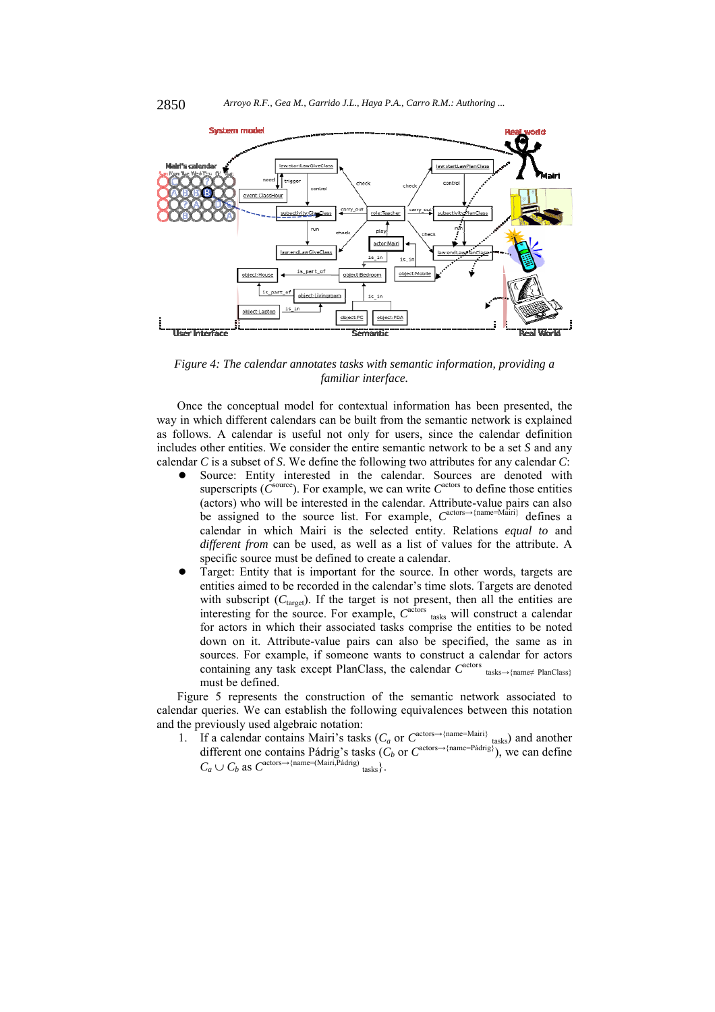

*Figure 4: The calendar annotates tasks with semantic information, providing a familiar interface.* 

Once the conceptual model for contextual information has been presented, the way in which different calendars can be built from the semantic network is explained as follows. A calendar is useful not only for users, since the calendar definition includes other entities. We consider the entire semantic network to be a set *S* and any calendar *C* is a subset of *S*. We define the following two attributes for any calendar *C*:

- Source: Entity interested in the calendar. Sources are denoted with superscripts ( $\hat{C}^{\text{source}}$ ). For example, we can write  $C^{\text{actors}}$  to define those entities (actors) who will be interested in the calendar. Attribute-value pairs can also be assigned to the source list. For example, *C*actors→{name=Mairi} defines a calendar in which Mairi is the selected entity. Relations *equal to* and *different from* can be used, as well as a list of values for the attribute. A specific source must be defined to create a calendar.
- Target: Entity that is important for the source. In other words, targets are entities aimed to be recorded in the calendar's time slots. Targets are denoted with subscript  $(C_{\text{target}})$ . If the target is not present, then all the entities are interesting for the source. For example,  $C^{a\text{c}tors}$  tasks will construct a calendar for actors in which their associated tasks comprise the entities to be noted down on it. Attribute-value pairs can also be specified, the same as in sources. For example, if someone wants to construct a calendar for actors containing any task except PlanClass, the calendar  $C^{\text{actors}}$  tasks→{name≠ PlanClass} must be defined.

Figure 5 represents the construction of the semantic network associated to calendar queries. We can establish the following equivalences between this notation and the previously used algebraic notation:

1. If a calendar contains Mairi's tasks ( $C_a$  or  $C^{\text{actors}\rightarrow{\text{(name=Main)}}}$  tasks) and another different one contains Pádrig's tasks  $(C_b$  or  $C^{actors \rightarrow \{nameP\{adrig\}}})$ , we can define  $C_a \cup C_b$  as  $C^{\text{actors}\rightarrow\{\text{name}=(\text{Main}, \text{Pádrig})}$  tasks  $\}$ .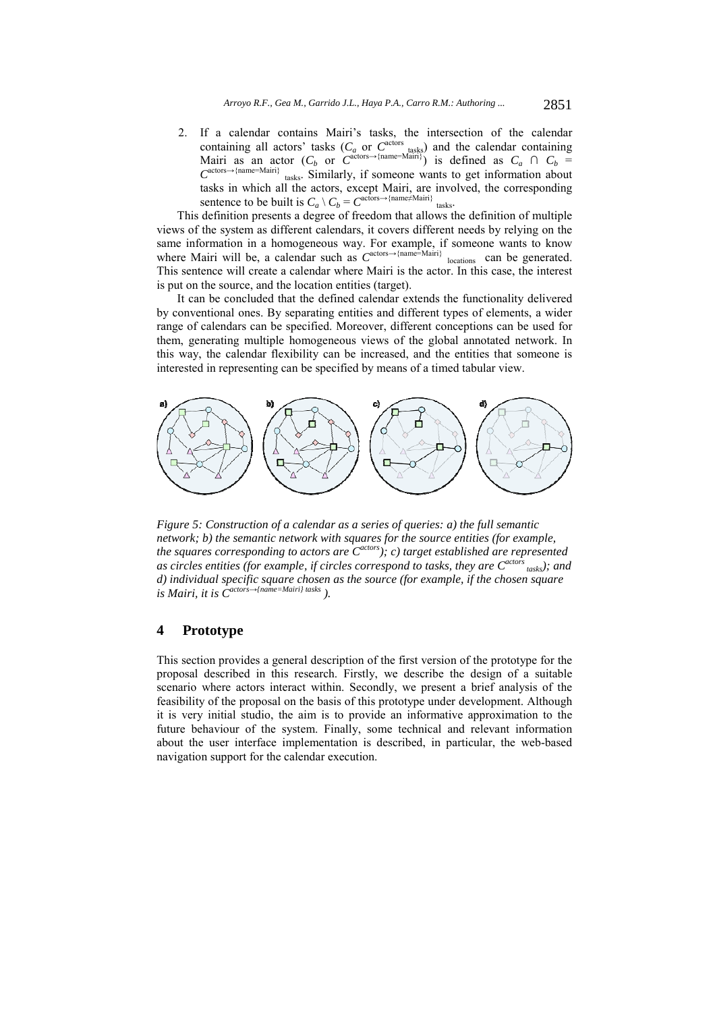2. If a calendar contains Mairi's tasks, the intersection of the calendar containing all actors' tasks  $(C_a \text{ or } C^{\text{actors}})$  and the calendar containing Mairi as an actor  $(C_b$  or  $C^{actors \rightarrow \{name=Main}\})$  is defined as  $C_a \cap C_b =$  $C^{actors \rightarrow \{name=Main\}}$  tasks. Similarly, if someone wants to get information about tasks in which all the actors, except Mairi, are involved, the corresponding sentence to be built is  $C_a \setminus C_b = C^{\text{actors}\rightarrow{\text{name}}\neq{\text{name}}\neq{\text{Main}};}}$ tasks.

This definition presents a degree of freedom that allows the definition of multiple views of the system as different calendars, it covers different needs by relying on the same information in a homogeneous way. For example, if someone wants to know where Mairi will be, a calendar such as  $C^{actors \rightarrow \{name = Main\}}$  locations can be generated. This sentence will create a calendar where Mairi is the actor. In this case, the interest is put on the source, and the location entities (target).

It can be concluded that the defined calendar extends the functionality delivered by conventional ones. By separating entities and different types of elements, a wider range of calendars can be specified. Moreover, different conceptions can be used for them, generating multiple homogeneous views of the global annotated network. In this way, the calendar flexibility can be increased, and the entities that someone is interested in representing can be specified by means of a timed tabular view.



*Figure 5: Construction of a calendar as a series of queries: a) the full semantic network; b) the semantic network with squares for the source entities (for example,*  the squares corresponding to actors are C<sup>actors</sup>); c) target established are represented *as circles entities (for example, if circles correspond to tasks, they are Cactors tasks); and d) individual specific square chosen as the source (for example, if the chosen square is Mairi, it is Cactors→{name=Mairi} tasks ).*

## **4 Prototype**

This section provides a general description of the first version of the prototype for the proposal described in this research. Firstly, we describe the design of a suitable scenario where actors interact within. Secondly, we present a brief analysis of the feasibility of the proposal on the basis of this prototype under development. Although it is very initial studio, the aim is to provide an informative approximation to the future behaviour of the system. Finally, some technical and relevant information about the user interface implementation is described, in particular, the web-based navigation support for the calendar execution.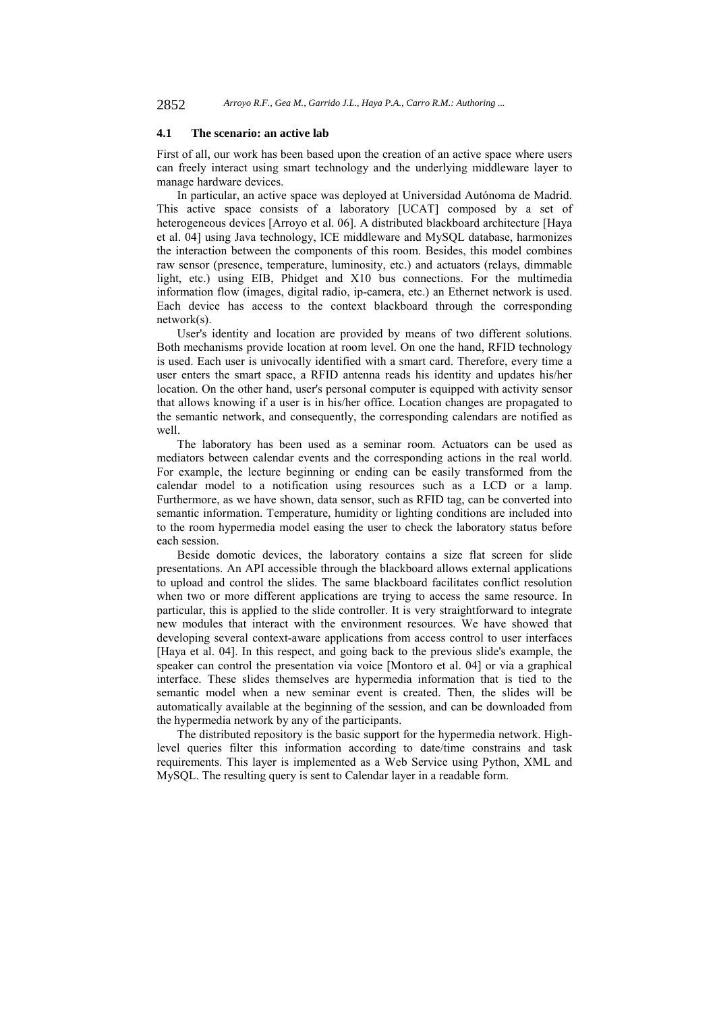#### **4.1 The scenario: an active lab**

First of all, our work has been based upon the creation of an active space where users can freely interact using smart technology and the underlying middleware layer to manage hardware devices.

In particular, an active space was deployed at Universidad Autónoma de Madrid. This active space consists of a laboratory [UCAT] composed by a set of heterogeneous devices [Arroyo et al. 06]. A distributed blackboard architecture [Haya et al. 04] using Java technology, ICE middleware and MySQL database, harmonizes the interaction between the components of this room. Besides, this model combines raw sensor (presence, temperature, luminosity, etc.) and actuators (relays, dimmable light, etc.) using EIB, Phidget and X10 bus connections. For the multimedia information flow (images, digital radio, ip-camera, etc.) an Ethernet network is used. Each device has access to the context blackboard through the corresponding network(s).

User's identity and location are provided by means of two different solutions. Both mechanisms provide location at room level. On one the hand, RFID technology is used. Each user is univocally identified with a smart card. Therefore, every time a user enters the smart space, a RFID antenna reads his identity and updates his/her location. On the other hand, user's personal computer is equipped with activity sensor that allows knowing if a user is in his/her office. Location changes are propagated to the semantic network, and consequently, the corresponding calendars are notified as well.

The laboratory has been used as a seminar room. Actuators can be used as mediators between calendar events and the corresponding actions in the real world. For example, the lecture beginning or ending can be easily transformed from the calendar model to a notification using resources such as a LCD or a lamp. Furthermore, as we have shown, data sensor, such as RFID tag, can be converted into semantic information. Temperature, humidity or lighting conditions are included into to the room hypermedia model easing the user to check the laboratory status before each session.

Beside domotic devices, the laboratory contains a size flat screen for slide presentations. An API accessible through the blackboard allows external applications to upload and control the slides. The same blackboard facilitates conflict resolution when two or more different applications are trying to access the same resource. In particular, this is applied to the slide controller. It is very straightforward to integrate new modules that interact with the environment resources. We have showed that developing several context-aware applications from access control to user interfaces [Haya et al. 04]. In this respect, and going back to the previous slide's example, the speaker can control the presentation via voice [Montoro et al. 04] or via a graphical interface. These slides themselves are hypermedia information that is tied to the semantic model when a new seminar event is created. Then, the slides will be automatically available at the beginning of the session, and can be downloaded from the hypermedia network by any of the participants.

The distributed repository is the basic support for the hypermedia network. Highlevel queries filter this information according to date/time constrains and task requirements. This layer is implemented as a Web Service using Python, XML and MySQL. The resulting query is sent to Calendar layer in a readable form.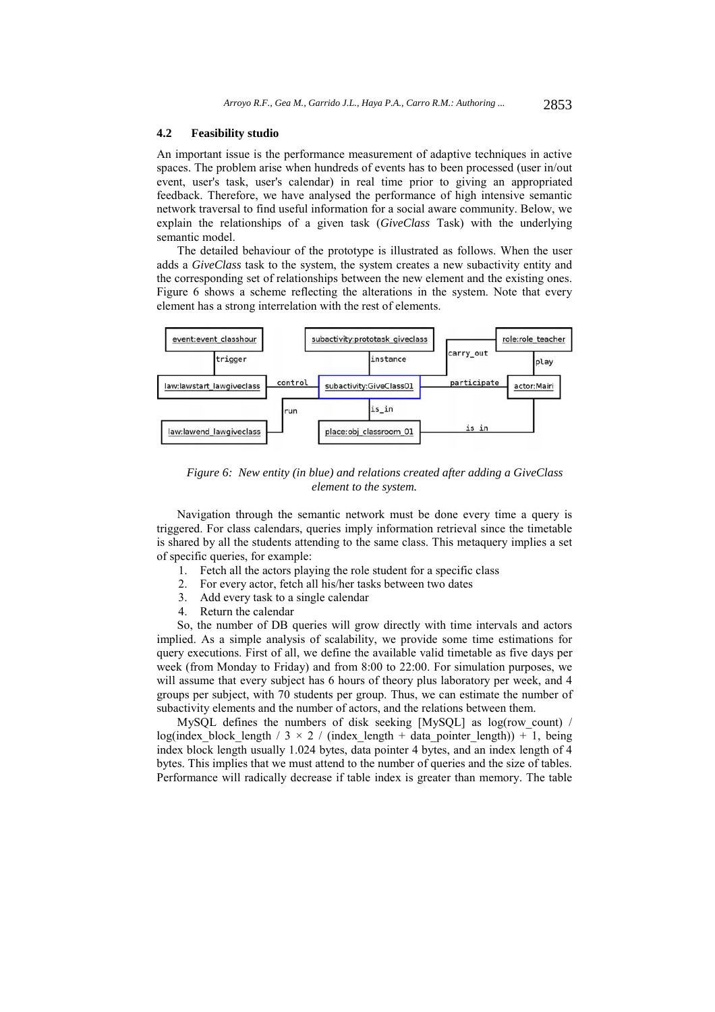#### **4.2 Feasibility studio**

An important issue is the performance measurement of adaptive techniques in active spaces. The problem arise when hundreds of events has to been processed (user in/out event, user's task, user's calendar) in real time prior to giving an appropriated feedback. Therefore, we have analysed the performance of high intensive semantic network traversal to find useful information for a social aware community. Below, we explain the relationships of a given task (*GiveClass* Task) with the underlying semantic model.

The detailed behaviour of the prototype is illustrated as follows. When the user adds a *GiveClass* task to the system, the system creates a new subactivity entity and the corresponding set of relationships between the new element and the existing ones. Figure 6 shows a scheme reflecting the alterations in the system. Note that every element has a strong interrelation with the rest of elements.



*Figure 6: New entity (in blue) and relations created after adding a GiveClass element to the system.* 

Navigation through the semantic network must be done every time a query is triggered. For class calendars, queries imply information retrieval since the timetable is shared by all the students attending to the same class. This metaquery implies a set of specific queries, for example:

- 1. Fetch all the actors playing the role student for a specific class
- 2. For every actor, fetch all his/her tasks between two dates
- 3. Add every task to a single calendar
- 4. Return the calendar

So, the number of DB queries will grow directly with time intervals and actors implied. As a simple analysis of scalability, we provide some time estimations for query executions. First of all, we define the available valid timetable as five days per week (from Monday to Friday) and from 8:00 to 22:00. For simulation purposes, we will assume that every subject has 6 hours of theory plus laboratory per week, and 4 groups per subject, with 70 students per group. Thus, we can estimate the number of subactivity elements and the number of actors, and the relations between them.

MySQL defines the numbers of disk seeking [MySQL] as log(row\_count) / log(index block length / 3  $\times$  2 / (index length + data pointer length)) + 1, being index block length usually 1.024 bytes, data pointer 4 bytes, and an index length of 4 bytes. This implies that we must attend to the number of queries and the size of tables. Performance will radically decrease if table index is greater than memory. The table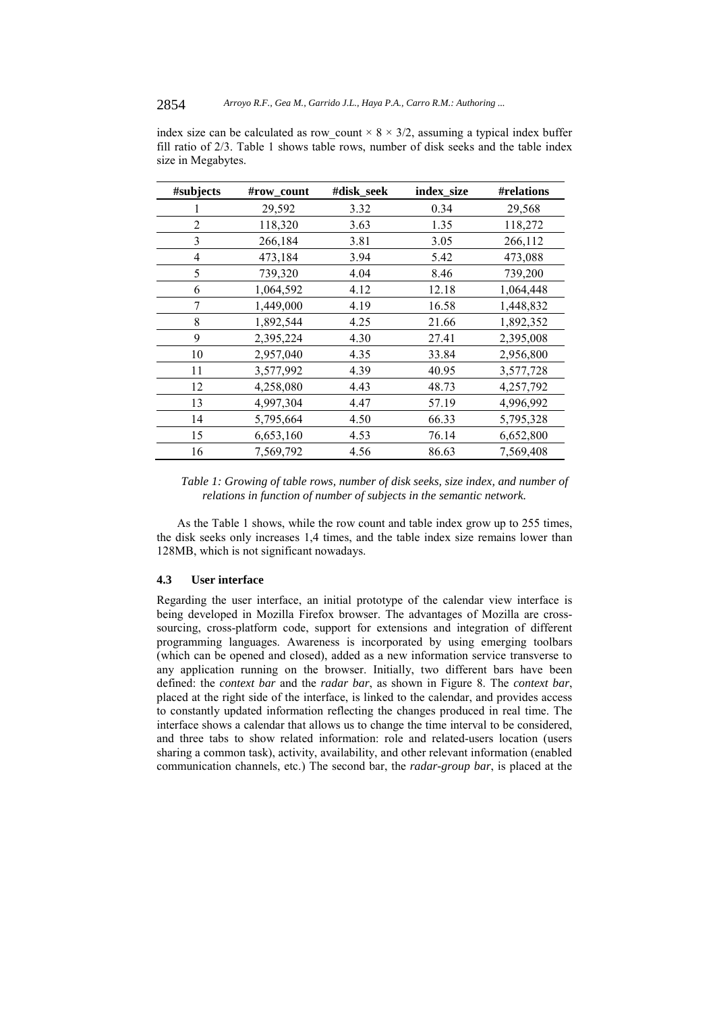| #subjects      | #row_count | #disk_seek | index_size | #relations |
|----------------|------------|------------|------------|------------|
|                | 29,592     | 3.32       | 0.34       | 29,568     |
| $\overline{2}$ | 118,320    | 3.63       | 1.35       | 118,272    |
| 3              | 266,184    | 3.81       | 3.05       | 266,112    |
| 4              | 473,184    | 3.94       | 5.42       | 473,088    |
| 5              | 739,320    | 4.04       | 8.46       | 739,200    |
| 6              | 1,064,592  | 4.12       | 12.18      | 1,064,448  |
| 7              | 1,449,000  | 4.19       | 16.58      | 1,448,832  |
| 8              | 1,892,544  | 4.25       | 21.66      | 1,892,352  |
| 9              | 2,395,224  | 4.30       | 27.41      | 2,395,008  |
| 10             | 2,957,040  | 4.35       | 33.84      | 2,956,800  |
| 11             | 3,577,992  | 4.39       | 40.95      | 3,577,728  |
| 12             | 4,258,080  | 4.43       | 48.73      | 4,257,792  |
| 13             | 4,997,304  | 4.47       | 57.19      | 4,996,992  |
| 14             | 5,795,664  | 4.50       | 66.33      | 5,795,328  |
| 15             | 6,653,160  | 4.53       | 76.14      | 6,652,800  |
| 16             | 7,569,792  | 4.56       | 86.63      | 7,569,408  |

index size can be calculated as row count  $\times$  8  $\times$  3/2, assuming a typical index buffer fill ratio of 2/3. Table 1 shows table rows, number of disk seeks and the table index size in Megabytes.

*Table 1: Growing of table rows, number of disk seeks, size index, and number of relations in function of number of subjects in the semantic network.* 

As the Table 1 shows, while the row count and table index grow up to 255 times, the disk seeks only increases 1,4 times, and the table index size remains lower than 128MB, which is not significant nowadays.

## **4.3 User interface**

Regarding the user interface, an initial prototype of the calendar view interface is being developed in Mozilla Firefox browser. The advantages of Mozilla are crosssourcing, cross-platform code, support for extensions and integration of different programming languages. Awareness is incorporated by using emerging toolbars (which can be opened and closed), added as a new information service transverse to any application running on the browser. Initially, two different bars have been defined: the *context bar* and the *radar bar*, as shown in Figure 8. The *context bar*, placed at the right side of the interface, is linked to the calendar, and provides access to constantly updated information reflecting the changes produced in real time. The interface shows a calendar that allows us to change the time interval to be considered, and three tabs to show related information: role and related-users location (users sharing a common task), activity, availability, and other relevant information (enabled communication channels, etc.) The second bar, the *radar-group bar*, is placed at the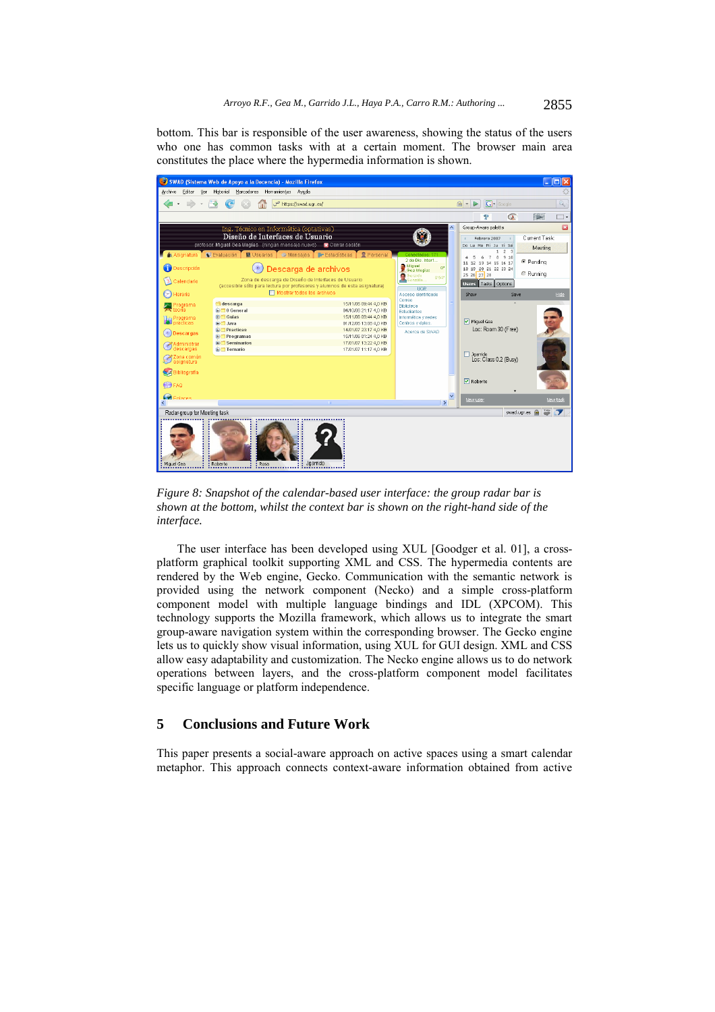bottom. This bar is responsible of the user awareness, showing the status of the users who one has common tasks with at a certain moment. The browser main area constitutes the place where the hypermedia information is shown.

| SWAD (Sistema Web de Apoyo a la Docencia) - Mozilla Firefox<br><u> - 181</u>                          |                                                                               |                                                |                                            |                                                                                 |                                    |  |  |  |
|-------------------------------------------------------------------------------------------------------|-------------------------------------------------------------------------------|------------------------------------------------|--------------------------------------------|---------------------------------------------------------------------------------|------------------------------------|--|--|--|
| Archivo<br>Editar<br>Ver                                                                              | Historial Marcadores Herramientas Ayuda                                       |                                                |                                            |                                                                                 |                                    |  |  |  |
|                                                                                                       | ص<br>https://swad.ugr.es/                                                     |                                                |                                            | $ G $ Google<br>$\mathbb{Q}_2$<br>$\triangleright$<br>$\boldsymbol{\mathrm{v}}$ | $Q$ .                              |  |  |  |
|                                                                                                       |                                                                               |                                                |                                            | $\sigma$<br>P                                                                   | 藤原<br>⊺⊷                           |  |  |  |
|                                                                                                       | Ing. Técnico en Informática (optativas)                                       |                                                |                                            | Group-Aware palette                                                             | G                                  |  |  |  |
| Diseño de Interfaces de Usuario<br>profesor: Miquel Gea Megías (ningún mensaje nuevo) R Cerrar sesión |                                                                               |                                                |                                            | Febrero 2007<br>Do Lu Ma Mi Ju Vi Sai                                           | Current Task:                      |  |  |  |
|                                                                                                       | A Asignatura V Evaluación M U U Suarios O Alensaies D Estadísticas D Personal |                                                | Conectados: 171                            | 2 <sup>3</sup><br>910<br>$\theta$<br>5<br>6<br>$\overline{7}$                   | Meeting                            |  |  |  |
| <b>Descripción</b>                                                                                    | $\circ$                                                                       |                                                | 2 de Dis. Interf<br>Miguel<br>œ            | 11 12 13 14 15 16 17<br>18 19 20 21 22 23 24                                    | <sup>●</sup> Pendina               |  |  |  |
|                                                                                                       | Descarga de archivos<br>Zona de descarga de Diseño de Interfaces de Usuario   |                                                | Gea Megias<br>Gerardo<br>9'54'<br>Gonzále. | 25 26 27 28                                                                     | <b>■ Running</b>                   |  |  |  |
| Calendario                                                                                            | (accesible sólo para lectura por profesores y alumnos de esta asignatura)     |                                                | <b>LIGR</b>                                | Users Tasks Options                                                             |                                    |  |  |  |
| Horario                                                                                               | Mostrar todos los archivos                                                    |                                                | Acceso identificado<br>Correo              | Show<br>Save<br>$\Delta$                                                        | Hide                               |  |  |  |
| <b>Programa</b><br>teoría                                                                             | descarga<br><b>E</b> <sup>1</sup> 0 General                                   | 15/11/06 09:44 4.0 KB<br>04/10/06 21:17 4,0 KB | <b>Biblioteca</b><br><b>Estudiantes</b>    |                                                                                 |                                    |  |  |  |
| <b>Co</b> Programa<br>O prácticas                                                                     | <b>E</b> Guias<br><b>El Java</b>                                              | 15/11/06 09:44 4.0 KB<br>01/12/06 13:08 4.0 KB | Informática y redes<br>Centros y dotos     | Miguel Gea                                                                      |                                    |  |  |  |
| <b>O</b> Descargas                                                                                    | œ.<br>Practicas<br><b>E</b> Programas                                         | 14/01/07 23:17 4.0 KB<br>15/11/06 01:24 4.0 KB | Acerca de SWAD                             | Loc: Room 30 (Free)                                                             |                                    |  |  |  |
| Administrar                                                                                           | <b>E</b> Seminarios                                                           | 17/01/07 13:22 4.0 KB                          |                                            |                                                                                 |                                    |  |  |  |
| descargas<br>Szona común                                                                              | <b>E</b> Temario                                                              | 17/01/07 11:17 4,0 KB                          |                                            | $\Box$ Jgarrido                                                                 |                                    |  |  |  |
| asignatura                                                                                            |                                                                               |                                                |                                            | Loc: Class 0.2 (Busy)                                                           |                                    |  |  |  |
| Bibliografia                                                                                          |                                                                               |                                                |                                            | <b>▽</b> Roberto                                                                |                                    |  |  |  |
| <b>OFAQ</b>                                                                                           |                                                                               |                                                |                                            |                                                                                 |                                    |  |  |  |
| <b>C</b> Fnlange                                                                                      |                                                                               |                                                | $\rightarrow$                              | New user                                                                        | New task                           |  |  |  |
| Radar-group for Meeting task                                                                          |                                                                               |                                                |                                            |                                                                                 | $\frac{786}{400}$<br>swad.ugr.es @ |  |  |  |
|                                                                                                       |                                                                               |                                                |                                            |                                                                                 |                                    |  |  |  |
|                                                                                                       |                                                                               |                                                |                                            |                                                                                 |                                    |  |  |  |
|                                                                                                       |                                                                               |                                                |                                            |                                                                                 |                                    |  |  |  |
|                                                                                                       |                                                                               |                                                |                                            |                                                                                 |                                    |  |  |  |
| Miguel Gea                                                                                            | Jaarrido<br>Roberto<br><b>E</b> Rosa                                          |                                                |                                            |                                                                                 |                                    |  |  |  |

*Figure 8: Snapshot of the calendar-based user interface: the group radar bar is shown at the bottom, whilst the context bar is shown on the right-hand side of the interface.* 

The user interface has been developed using XUL [Goodger et al. 01], a crossplatform graphical toolkit supporting XML and CSS. The hypermedia contents are rendered by the Web engine, Gecko. Communication with the semantic network is provided using the network component (Necko) and a simple cross-platform component model with multiple language bindings and IDL (XPCOM). This technology supports the Mozilla framework, which allows us to integrate the smart group-aware navigation system within the corresponding browser. The Gecko engine lets us to quickly show visual information, using XUL for GUI design. XML and CSS allow easy adaptability and customization. The Necko engine allows us to do network operations between layers, and the cross-platform component model facilitates specific language or platform independence.

# **5 Conclusions and Future Work**

This paper presents a social-aware approach on active spaces using a smart calendar metaphor. This approach connects context-aware information obtained from active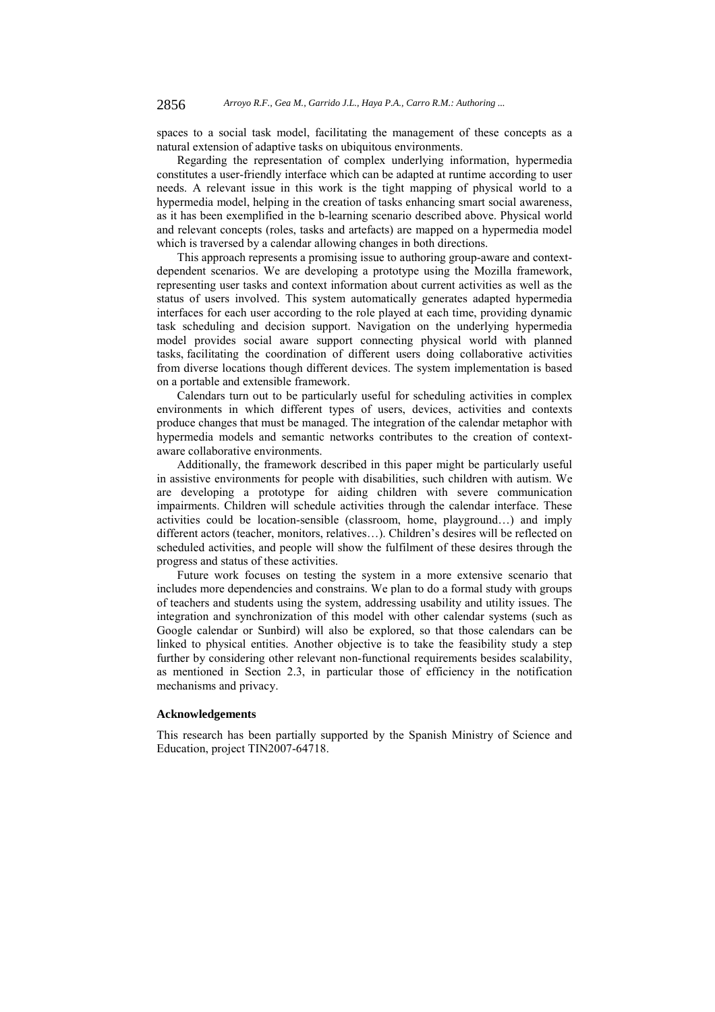spaces to a social task model, facilitating the management of these concepts as a natural extension of adaptive tasks on ubiquitous environments.

Regarding the representation of complex underlying information, hypermedia constitutes a user-friendly interface which can be adapted at runtime according to user needs. A relevant issue in this work is the tight mapping of physical world to a hypermedia model, helping in the creation of tasks enhancing smart social awareness, as it has been exemplified in the b-learning scenario described above. Physical world and relevant concepts (roles, tasks and artefacts) are mapped on a hypermedia model which is traversed by a calendar allowing changes in both directions.

This approach represents a promising issue to authoring group-aware and contextdependent scenarios. We are developing a prototype using the Mozilla framework, representing user tasks and context information about current activities as well as the status of users involved. This system automatically generates adapted hypermedia interfaces for each user according to the role played at each time, providing dynamic task scheduling and decision support. Navigation on the underlying hypermedia model provides social aware support connecting physical world with planned tasks, facilitating the coordination of different users doing collaborative activities from diverse locations though different devices. The system implementation is based on a portable and extensible framework.

Calendars turn out to be particularly useful for scheduling activities in complex environments in which different types of users, devices, activities and contexts produce changes that must be managed. The integration of the calendar metaphor with hypermedia models and semantic networks contributes to the creation of contextaware collaborative environments.

Additionally, the framework described in this paper might be particularly useful in assistive environments for people with disabilities, such children with autism. We are developing a prototype for aiding children with severe communication impairments. Children will schedule activities through the calendar interface. These activities could be location-sensible (classroom, home, playground…) and imply different actors (teacher, monitors, relatives…). Children's desires will be reflected on scheduled activities, and people will show the fulfilment of these desires through the progress and status of these activities.

Future work focuses on testing the system in a more extensive scenario that includes more dependencies and constrains. We plan to do a formal study with groups of teachers and students using the system, addressing usability and utility issues. The integration and synchronization of this model with other calendar systems (such as Google calendar or Sunbird) will also be explored, so that those calendars can be linked to physical entities. Another objective is to take the feasibility study a step further by considering other relevant non-functional requirements besides scalability, as mentioned in Section 2.3, in particular those of efficiency in the notification mechanisms and privacy.

#### **Acknowledgements**

This research has been partially supported by the Spanish Ministry of Science and Education, project TIN2007-64718.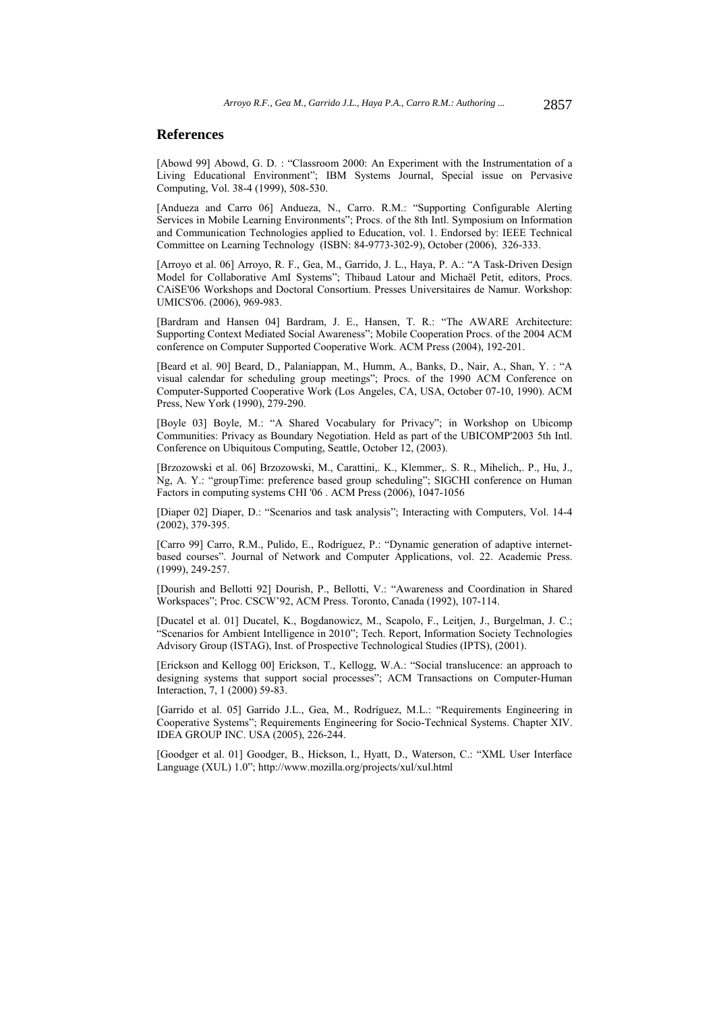## **References**

[Abowd 99] Abowd, G. D. : "Classroom 2000: An Experiment with the Instrumentation of a Living Educational Environment"; IBM Systems Journal, Special issue on Pervasive Computing, Vol. 38-4 (1999), 508-530.

[Andueza and Carro 06] Andueza, N., Carro. R.M.: "Supporting Configurable Alerting Services in Mobile Learning Environments"; Procs. of the 8th Intl. Symposium on Information and Communication Technologies applied to Education, vol. 1. Endorsed by: IEEE Technical Committee on Learning Technology (ISBN: 84-9773-302-9), October (2006), 326-333.

[Arroyo et al. 06] Arroyo, R. F., Gea, M., Garrido, J. L., Haya, P. A.: "A Task-Driven Design Model for Collaborative AmI Systems"; Thibaud Latour and Michaël Petit, editors, Procs. CAiSE'06 Workshops and Doctoral Consortium. Presses Universitaires de Namur. Workshop: UMICS'06. (2006), 969-983.

[Bardram and Hansen 04] Bardram, J. E., Hansen, T. R.: "The AWARE Architecture: Supporting Context Mediated Social Awareness"; Mobile Cooperation Procs. of the 2004 ACM conference on Computer Supported Cooperative Work. ACM Press (2004), 192-201.

[Beard et al. 90] Beard, D., Palaniappan, M., Humm, A., Banks, D., Nair, A., Shan, Y. : "A visual calendar for scheduling group meetings"; Procs. of the 1990 ACM Conference on Computer-Supported Cooperative Work (Los Angeles, CA, USA, October 07-10, 1990). ACM Press, New York (1990), 279-290.

[Boyle 03] Boyle, M.: "A Shared Vocabulary for Privacy"; in Workshop on Ubicomp Communities: Privacy as Boundary Negotiation. Held as part of the UBICOMP'2003 5th Intl. Conference on Ubiquitous Computing, Seattle, October 12, (2003).

[Brzozowski et al. 06] Brzozowski, M., Carattini,. K., Klemmer,. S. R., Mihelich,. P., Hu, J., Ng, A. Y.: "groupTime: preference based group scheduling"; SIGCHI conference on Human Factors in computing systems CHI '06 . ACM Press (2006), 1047-1056

[Diaper 02] Diaper, D.: "Scenarios and task analysis"; Interacting with Computers, Vol. 14-4 (2002), 379-395.

[Carro 99] Carro, R.M., Pulido, E., Rodríguez, P.: "Dynamic generation of adaptive internetbased courses". Journal of Network and Computer Applications, vol. 22. Academic Press. (1999), 249-257.

[Dourish and Bellotti 92] Dourish, P., Bellotti, V.: "Awareness and Coordination in Shared Workspaces"; Proc. CSCW'92, ACM Press. Toronto, Canada (1992), 107-114.

[Ducatel et al. 01] Ducatel, K., Bogdanowicz, M., Scapolo, F., Leitjen, J., Burgelman, J. C.; "Scenarios for Ambient Intelligence in 2010"; Tech. Report, Information Society Technologies Advisory Group (ISTAG), Inst. of Prospective Technological Studies (IPTS), (2001).

[Erickson and Kellogg 00] Erickson, T., Kellogg, W.A.: "Social translucence: an approach to designing systems that support social processes"; ACM Transactions on Computer-Human Interaction, 7, 1 (2000) 59-83.

[Garrido et al. 05] Garrido J.L., Gea, M., Rodríguez, M.L.: "Requirements Engineering in Cooperative Systems"; Requirements Engineering for Socio-Technical Systems. Chapter XIV. IDEA GROUP INC. USA (2005), 226-244.

[Goodger et al. 01] Goodger, B., Hickson, I., Hyatt, D., Waterson, C.: "XML User Interface Language (XUL) 1.0"; http://www.mozilla.org/projects/xul/xul.html